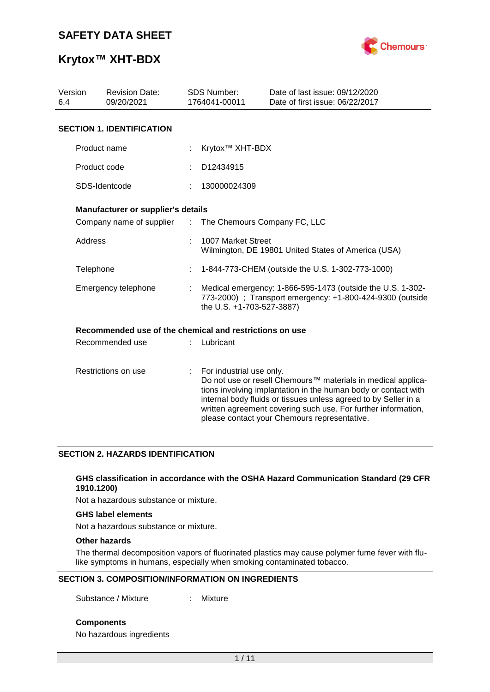

### **Krytox™ XHT-BDX**

| Version<br>6.4 | <b>Revision Date:</b><br>09/20/2021                     |                               | <b>SDS Number:</b><br>1764041-00011 | Date of last issue: 09/12/2020<br>Date of first issue: 06/22/2017                                                                                                                                                                                                                                                  |
|----------------|---------------------------------------------------------|-------------------------------|-------------------------------------|--------------------------------------------------------------------------------------------------------------------------------------------------------------------------------------------------------------------------------------------------------------------------------------------------------------------|
|                | <b>SECTION 1. IDENTIFICATION</b>                        |                               |                                     |                                                                                                                                                                                                                                                                                                                    |
|                | Product name                                            |                               | Krytox <sup>™</sup> XHT-BDX         |                                                                                                                                                                                                                                                                                                                    |
|                | Product code                                            |                               | D12434915                           |                                                                                                                                                                                                                                                                                                                    |
|                | SDS-Identcode                                           |                               | 130000024309                        |                                                                                                                                                                                                                                                                                                                    |
|                | Manufacturer or supplier's details                      |                               |                                     |                                                                                                                                                                                                                                                                                                                    |
|                | Company name of supplier                                | $\mathcal{I}^{\mathcal{I}}$ . | The Chemours Company FC, LLC        |                                                                                                                                                                                                                                                                                                                    |
| Address        |                                                         |                               | 1007 Market Street                  | Wilmington, DE 19801 United States of America (USA)                                                                                                                                                                                                                                                                |
| Telephone      |                                                         |                               |                                     | 1-844-773-CHEM (outside the U.S. 1-302-773-1000)                                                                                                                                                                                                                                                                   |
|                | Emergency telephone                                     |                               | the U.S. +1-703-527-3887)           | Medical emergency: 1-866-595-1473 (outside the U.S. 1-302-<br>773-2000) ; Transport emergency: +1-800-424-9300 (outside                                                                                                                                                                                            |
|                | Recommended use of the chemical and restrictions on use |                               |                                     |                                                                                                                                                                                                                                                                                                                    |
|                | Recommended use                                         |                               | Lubricant                           |                                                                                                                                                                                                                                                                                                                    |
|                | Restrictions on use                                     | ÷                             | For industrial use only.            | Do not use or resell Chemours™ materials in medical applica-<br>tions involving implantation in the human body or contact with<br>internal body fluids or tissues unless agreed to by Seller in a<br>written agreement covering such use. For further information,<br>please contact your Chemours representative. |

#### **SECTION 2. HAZARDS IDENTIFICATION**

#### **GHS classification in accordance with the OSHA Hazard Communication Standard (29 CFR 1910.1200)**

Not a hazardous substance or mixture.

#### **GHS label elements**

Not a hazardous substance or mixture.

#### **Other hazards**

The thermal decomposition vapors of fluorinated plastics may cause polymer fume fever with flulike symptoms in humans, especially when smoking contaminated tobacco.

#### **SECTION 3. COMPOSITION/INFORMATION ON INGREDIENTS**

Substance / Mixture : Mixture

**Components**

No hazardous ingredients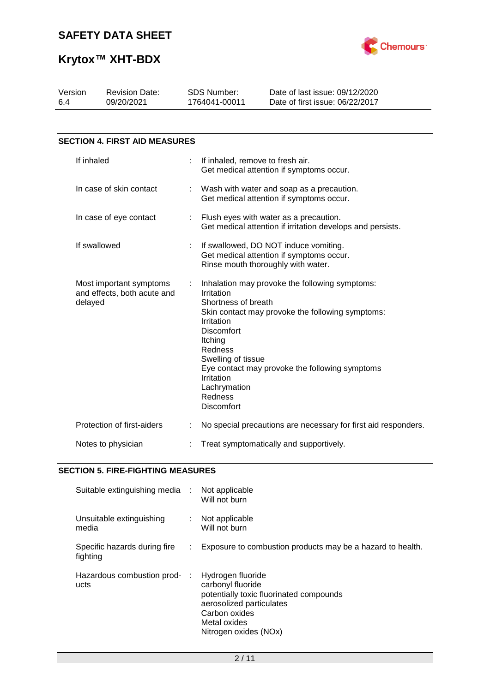

# **Krytox™ XHT-BDX**

| Version<br><b>Revision Date:</b><br>09/20/2021<br>6.4             |                                      |                           | <b>SDS Number:</b><br>1764041-00011                                                                                                                                                   | Date of last issue: 09/12/2020<br>Date of first issue: 06/22/2017                                                                                    |  |
|-------------------------------------------------------------------|--------------------------------------|---------------------------|---------------------------------------------------------------------------------------------------------------------------------------------------------------------------------------|------------------------------------------------------------------------------------------------------------------------------------------------------|--|
|                                                                   |                                      |                           |                                                                                                                                                                                       |                                                                                                                                                      |  |
|                                                                   | <b>SECTION 4. FIRST AID MEASURES</b> |                           |                                                                                                                                                                                       |                                                                                                                                                      |  |
| If inhaled                                                        |                                      | ÷                         | If inhaled, remove to fresh air.                                                                                                                                                      | Get medical attention if symptoms occur.                                                                                                             |  |
|                                                                   | In case of skin contact              |                           |                                                                                                                                                                                       | Wash with water and soap as a precaution.<br>Get medical attention if symptoms occur.                                                                |  |
|                                                                   | In case of eye contact               | $\mathbb{Z}^{\mathbb{Z}}$ |                                                                                                                                                                                       | Flush eyes with water as a precaution.<br>Get medical attention if irritation develops and persists.                                                 |  |
|                                                                   | If swallowed                         |                           |                                                                                                                                                                                       | If swallowed, DO NOT induce vomiting.<br>Get medical attention if symptoms occur.<br>Rinse mouth thoroughly with water.                              |  |
| Most important symptoms<br>and effects, both acute and<br>delayed |                                      |                           | Irritation<br>Shortness of breath<br>Irritation<br><b>Discomfort</b><br>Itching<br><b>Redness</b><br>Swelling of tissue<br>Irritation<br>Lachrymation<br><b>Redness</b><br>Discomfort | Inhalation may provoke the following symptoms:<br>Skin contact may provoke the following symptoms:<br>Eye contact may provoke the following symptoms |  |
|                                                                   | Protection of first-aiders           |                           |                                                                                                                                                                                       | No special precautions are necessary for first aid responders.                                                                                       |  |
|                                                                   | Notes to physician                   |                           |                                                                                                                                                                                       | Treat symptomatically and supportively.                                                                                                              |  |

### **SECTION 5. FIRE-FIGHTING MEASURES**

| Suitable extinguishing media :           |    | Not applicable<br>Will not burn                                                                                                                                         |
|------------------------------------------|----|-------------------------------------------------------------------------------------------------------------------------------------------------------------------------|
| Unsuitable extinguishing<br>media        |    | Not applicable<br>Will not burn                                                                                                                                         |
| Specific hazards during fire<br>fighting | ÷. | Exposure to combustion products may be a hazard to health.                                                                                                              |
| Hazardous combustion prod-<br>ucts       | ÷  | Hydrogen fluoride<br>carbonyl fluoride<br>potentially toxic fluorinated compounds<br>aerosolized particulates<br>Carbon oxides<br>Metal oxides<br>Nitrogen oxides (NOx) |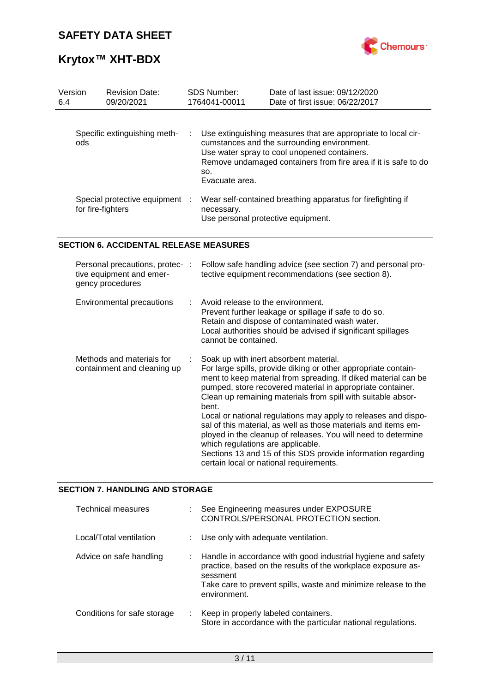

# **Krytox™ XHT-BDX**

| Version<br>6.4 | <b>Revision Date:</b><br>09/20/2021                 | <b>SDS Number:</b><br>1764041-00011              | Date of last issue: 09/12/2020<br>Date of first issue: 06/22/2017                                                                                                                                                              |
|----------------|-----------------------------------------------------|--------------------------------------------------|--------------------------------------------------------------------------------------------------------------------------------------------------------------------------------------------------------------------------------|
| ods            | Specific extinguishing meth-                        | SO.<br>Evacuate area.                            | Use extinguishing measures that are appropriate to local cir-<br>cumstances and the surrounding environment.<br>Use water spray to cool unopened containers.<br>Remove undamaged containers from fire area if it is safe to do |
|                | Special protective equipment :<br>for fire-fighters | necessary.<br>Use personal protective equipment. | Wear self-contained breathing apparatus for firefighting if                                                                                                                                                                    |

#### **SECTION 6. ACCIDENTAL RELEASE MEASURES**

| Personal precautions, protec- :<br>tive equipment and emer-<br>gency procedures | Follow safe handling advice (see section 7) and personal pro-<br>tective equipment recommendations (see section 8).                                                                                                                                                                                                                                                                                                                                                                                                                                                                                                                                                    |
|---------------------------------------------------------------------------------|------------------------------------------------------------------------------------------------------------------------------------------------------------------------------------------------------------------------------------------------------------------------------------------------------------------------------------------------------------------------------------------------------------------------------------------------------------------------------------------------------------------------------------------------------------------------------------------------------------------------------------------------------------------------|
| Environmental precautions                                                       | Avoid release to the environment.<br>Prevent further leakage or spillage if safe to do so.<br>Retain and dispose of contaminated wash water.<br>Local authorities should be advised if significant spillages<br>cannot be contained.                                                                                                                                                                                                                                                                                                                                                                                                                                   |
| Methods and materials for<br>containment and cleaning up                        | Soak up with inert absorbent material.<br>For large spills, provide diking or other appropriate contain-<br>ment to keep material from spreading. If diked material can be<br>pumped, store recovered material in appropriate container.<br>Clean up remaining materials from spill with suitable absor-<br>bent.<br>Local or national regulations may apply to releases and dispo-<br>sal of this material, as well as those materials and items em-<br>ployed in the cleanup of releases. You will need to determine<br>which regulations are applicable.<br>Sections 13 and 15 of this SDS provide information regarding<br>certain local or national requirements. |

#### **SECTION 7. HANDLING AND STORAGE**

| <b>Technical measures</b>   |    | See Engineering measures under EXPOSURE<br>CONTROLS/PERSONAL PROTECTION section.                                                                                                                                             |
|-----------------------------|----|------------------------------------------------------------------------------------------------------------------------------------------------------------------------------------------------------------------------------|
| Local/Total ventilation     |    | : Use only with adequate ventilation.                                                                                                                                                                                        |
| Advice on safe handling     |    | : Handle in accordance with good industrial hygiene and safety<br>practice, based on the results of the workplace exposure as-<br>sessment<br>Take care to prevent spills, waste and minimize release to the<br>environment. |
| Conditions for safe storage | ÷. | Keep in properly labeled containers.<br>Store in accordance with the particular national regulations.                                                                                                                        |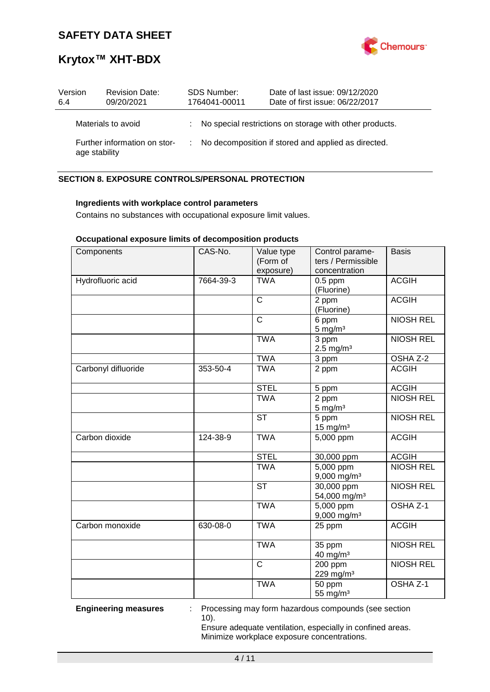

### **Krytox™ XHT-BDX**

| Version<br>6.4 | <b>Revision Date:</b><br>09/20/2021           |    | <b>SDS Number:</b><br>1764041-00011 | Date of last issue: 09/12/2020<br>Date of first issue: 06/22/2017 |
|----------------|-----------------------------------------------|----|-------------------------------------|-------------------------------------------------------------------|
|                | Materials to avoid                            |    |                                     | : No special restrictions on storage with other products.         |
|                | Further information on stor-<br>age stability | ÷. |                                     | No decomposition if stored and applied as directed.               |

### **SECTION 8. EXPOSURE CONTROLS/PERSONAL PROTECTION**

#### **Ingredients with workplace control parameters**

Contains no substances with occupational exposure limit values.

#### **Occupational exposure limits of decomposition products**

| Components          | CAS-No.   | Value type<br>(Form of<br>exposure) | Control parame-<br>ters / Permissible<br>concentration | <b>Basis</b>        |
|---------------------|-----------|-------------------------------------|--------------------------------------------------------|---------------------|
| Hydrofluoric acid   | 7664-39-3 | <b>TWA</b>                          | $0.5$ ppm<br>(Fluorine)                                | <b>ACGIH</b>        |
|                     |           | $\mathsf{C}$                        | 2 ppm<br>(Fluorine)                                    | <b>ACGIH</b>        |
|                     |           | $\mathsf{C}$                        | 6 ppm<br>$5 \text{ mg/m}^3$                            | <b>NIOSH REL</b>    |
|                     |           | <b>TWA</b>                          | 3 ppm<br>$2.5 \text{ mg/m}^3$                          | <b>NIOSH REL</b>    |
|                     |           | <b>TWA</b>                          | 3 ppm                                                  | OSHA Z-2            |
| Carbonyl difluoride | 353-50-4  | <b>TWA</b>                          | 2 ppm                                                  | <b>ACGIH</b>        |
|                     |           | <b>STEL</b>                         | 5 ppm                                                  | <b>ACGIH</b>        |
|                     |           | <b>TWA</b>                          | 2 ppm<br>$5 \text{ mg/m}^3$                            | <b>NIOSH REL</b>    |
|                     |           | <b>ST</b>                           | 5 ppm<br>$15$ mg/m <sup>3</sup>                        | <b>NIOSH REL</b>    |
| Carbon dioxide      | 124-38-9  | <b>TWA</b>                          | 5,000 ppm                                              | <b>ACGIH</b>        |
|                     |           | <b>STEL</b>                         | 30,000 ppm                                             | <b>ACGIH</b>        |
|                     |           | <b>TWA</b>                          | $\overline{5,000}$ ppm<br>9,000 mg/m <sup>3</sup>      | <b>NIOSH REL</b>    |
|                     |           | <b>ST</b>                           | 30,000 ppm<br>54,000 mg/m <sup>3</sup>                 | <b>NIOSH REL</b>    |
|                     |           | <b>TWA</b>                          | 5,000 ppm<br>$9,000$ mg/m <sup>3</sup>                 | OSHA <sub>Z-1</sub> |
| Carbon monoxide     | 630-08-0  | <b>TWA</b>                          | 25 ppm                                                 | <b>ACGIH</b>        |
|                     |           | <b>TWA</b>                          | 35 ppm<br>40 mg/m <sup>3</sup>                         | <b>NIOSH REL</b>    |
|                     |           | $\overline{\text{c}}$               | 200 ppm<br>229 mg/m <sup>3</sup>                       | <b>NIOSH REL</b>    |
|                     |           | <b>TWA</b>                          | 50 ppm<br>55 mg/m <sup>3</sup>                         | OSHA <sub>Z-1</sub> |

**Engineering measures** : Processing may form hazardous compounds (see section 10).

> Ensure adequate ventilation, especially in confined areas. Minimize workplace exposure concentrations.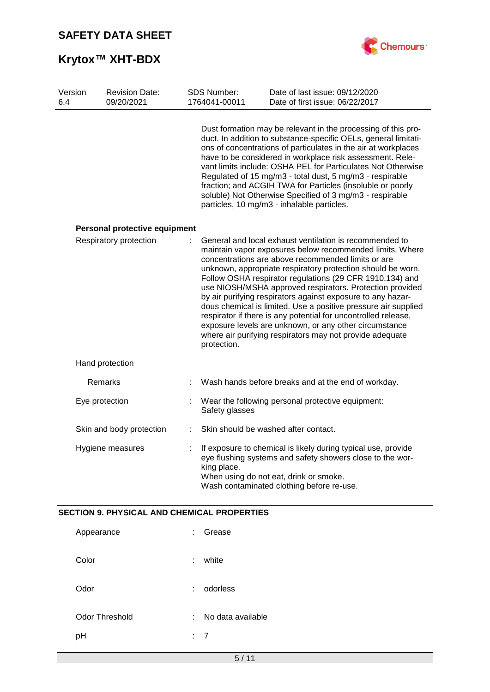# **Krytox™ XHT-BDX**



| Version<br>6.4 |                | <b>Revision Date:</b><br>09/20/2021 |   | SDS Number:<br>1764041-00011 | Date of last issue: 09/12/2020<br>Date of first issue: 06/22/2017                                                                                                                                                                                                                                                                                                                                                                                                                                                                                                                                                                                                                         |
|----------------|----------------|-------------------------------------|---|------------------------------|-------------------------------------------------------------------------------------------------------------------------------------------------------------------------------------------------------------------------------------------------------------------------------------------------------------------------------------------------------------------------------------------------------------------------------------------------------------------------------------------------------------------------------------------------------------------------------------------------------------------------------------------------------------------------------------------|
|                |                |                                     |   |                              | Dust formation may be relevant in the processing of this pro-<br>duct. In addition to substance-specific OELs, general limitati-<br>ons of concentrations of particulates in the air at workplaces<br>have to be considered in workplace risk assessment. Rele-<br>vant limits include: OSHA PEL for Particulates Not Otherwise<br>Regulated of 15 mg/m3 - total dust, 5 mg/m3 - respirable<br>fraction; and ACGIH TWA for Particles (insoluble or poorly<br>soluble) Not Otherwise Specified of 3 mg/m3 - respirable<br>particles, 10 mg/m3 - inhalable particles.                                                                                                                       |
|                |                | Personal protective equipment       |   |                              |                                                                                                                                                                                                                                                                                                                                                                                                                                                                                                                                                                                                                                                                                           |
|                |                | Respiratory protection              | ÷ | protection.                  | General and local exhaust ventilation is recommended to<br>maintain vapor exposures below recommended limits. Where<br>concentrations are above recommended limits or are<br>unknown, appropriate respiratory protection should be worn.<br>Follow OSHA respirator regulations (29 CFR 1910.134) and<br>use NIOSH/MSHA approved respirators. Protection provided<br>by air purifying respirators against exposure to any hazar-<br>dous chemical is limited. Use a positive pressure air supplied<br>respirator if there is any potential for uncontrolled release,<br>exposure levels are unknown, or any other circumstance<br>where air purifying respirators may not provide adequate |
|                |                | Hand protection                     |   |                              |                                                                                                                                                                                                                                                                                                                                                                                                                                                                                                                                                                                                                                                                                           |
|                |                | Remarks                             |   |                              | Wash hands before breaks and at the end of workday.                                                                                                                                                                                                                                                                                                                                                                                                                                                                                                                                                                                                                                       |
|                | Eye protection |                                     |   | Safety glasses               | Wear the following personal protective equipment:                                                                                                                                                                                                                                                                                                                                                                                                                                                                                                                                                                                                                                         |
|                |                | Skin and body protection            | ÷ |                              | Skin should be washed after contact.                                                                                                                                                                                                                                                                                                                                                                                                                                                                                                                                                                                                                                                      |
|                |                | Hygiene measures                    |   | king place.                  | If exposure to chemical is likely during typical use, provide<br>eye flushing systems and safety showers close to the wor-<br>When using do not eat, drink or smoke.<br>Wash contaminated clothing before re-use.                                                                                                                                                                                                                                                                                                                                                                                                                                                                         |

### **SECTION 9. PHYSICAL AND CHEMICAL PROPERTIES**

| Appearance     | t. | Grease            |
|----------------|----|-------------------|
| Color          | ÷. | white             |
| Odor           | t. | odorless          |
| Odor Threshold | t. | No data available |
| pH             | ÷. | - 7               |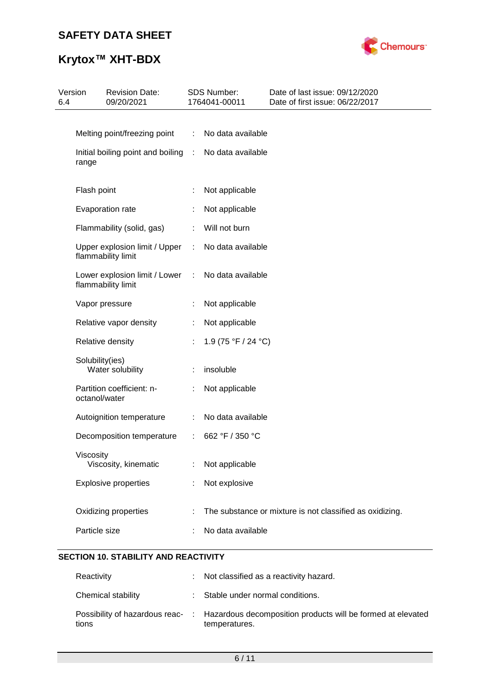

# **Krytox™ XHT-BDX**

| Version<br>6.4 | <b>Revision Date:</b><br>09/20/2021                 |            | SDS Number:<br>1764041-00011 | Date of last issue: 09/12/2020<br>Date of first issue: 06/22/2017 |
|----------------|-----------------------------------------------------|------------|------------------------------|-------------------------------------------------------------------|
|                |                                                     |            |                              |                                                                   |
|                | Melting point/freezing point                        | ÷          | No data available            |                                                                   |
|                | Initial boiling point and boiling<br>range          | $\sim$ 100 | No data available            |                                                                   |
|                | Flash point                                         |            | Not applicable               |                                                                   |
|                | Evaporation rate                                    |            | Not applicable               |                                                                   |
|                | Flammability (solid, gas)                           |            | Will not burn                |                                                                   |
|                | Upper explosion limit / Upper<br>flammability limit | ÷          | No data available            |                                                                   |
|                | Lower explosion limit / Lower<br>flammability limit | ÷          | No data available            |                                                                   |
|                | Vapor pressure                                      |            | Not applicable               |                                                                   |
|                | Relative vapor density                              |            | Not applicable               |                                                                   |
|                | Relative density                                    |            | 1.9 (75 °F / 24 °C)          |                                                                   |
|                | Solubility(ies)<br>Water solubility                 |            | insoluble                    |                                                                   |
|                | Partition coefficient: n-<br>octanol/water          | ÷.         | Not applicable               |                                                                   |
|                | Autoignition temperature                            |            | No data available            |                                                                   |
|                | Decomposition temperature                           | ÷.         | 662 °F / 350 °C              |                                                                   |
|                | Viscosity<br>Viscosity, kinematic                   |            | Not applicable               |                                                                   |
|                | <b>Explosive properties</b>                         |            | Not explosive                |                                                                   |
|                | Oxidizing properties                                |            |                              | The substance or mixture is not classified as oxidizing.          |
|                | Particle size                                       |            | No data available            |                                                                   |
|                |                                                     |            |                              |                                                                   |

### **SECTION 10. STABILITY AND REACTIVITY**

| Reactivity         | : Not classified as a reactivity hazard.                                                                      |
|--------------------|---------------------------------------------------------------------------------------------------------------|
| Chemical stability | : Stable under normal conditions.                                                                             |
| tions              | Possibility of hazardous reac- : Hazardous decomposition products will be formed at elevated<br>temperatures. |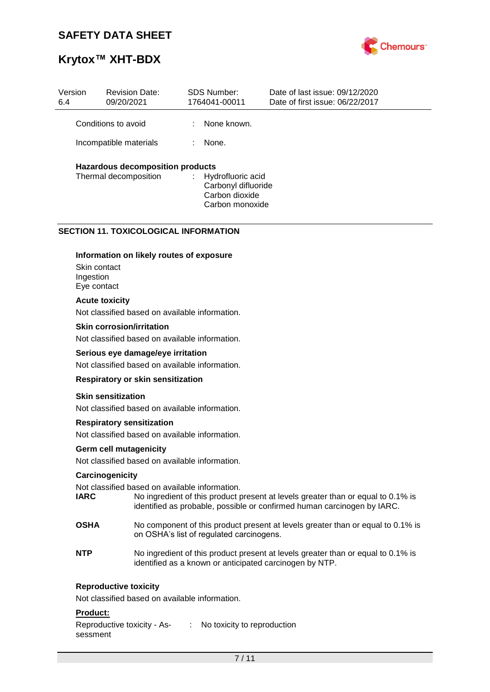

### **Krytox™ XHT-BDX**

| Version<br>6.4         | <b>Revision Date:</b><br>09/20/2021     |    | SDS Number:<br>1764041-00011                                                  | Date of last issue: 09/12/2020<br>Date of first issue: 06/22/2017 |
|------------------------|-----------------------------------------|----|-------------------------------------------------------------------------------|-------------------------------------------------------------------|
|                        | Conditions to avoid                     | ÷. | None known.                                                                   |                                                                   |
| Incompatible materials |                                         | t. | None.                                                                         |                                                                   |
|                        | <b>Hazardous decomposition products</b> |    |                                                                               |                                                                   |
|                        | Thermal decomposition                   | ÷. | Hydrofluoric acid<br>Carbonyl difluoride<br>Carbon dioxide<br>Carbon monoxide |                                                                   |

#### **SECTION 11. TOXICOLOGICAL INFORMATION**

#### **Information on likely routes of exposure**

Skin contact Ingestion Eye contact

#### **Acute toxicity**

Not classified based on available information.

#### **Skin corrosion/irritation**

Not classified based on available information.

#### **Serious eye damage/eye irritation**

Not classified based on available information.

#### **Respiratory or skin sensitization**

#### **Skin sensitization**

Not classified based on available information.

#### **Respiratory sensitization**

Not classified based on available information.

#### **Germ cell mutagenicity**

Not classified based on available information.

#### **Carcinogenicity**

Not classified based on available information.

- **IARC** No ingredient of this product present at levels greater than or equal to 0.1% is identified as probable, possible or confirmed human carcinogen by IARC.
- **OSHA** No component of this product present at levels greater than or equal to 0.1% is on OSHA's list of regulated carcinogens.
- **NTP** No ingredient of this product present at levels greater than or equal to 0.1% is identified as a known or anticipated carcinogen by NTP.

#### **Reproductive toxicity**

Not classified based on available information.

#### **Product:**

Reproductive toxicity - Assessment : No toxicity to reproduction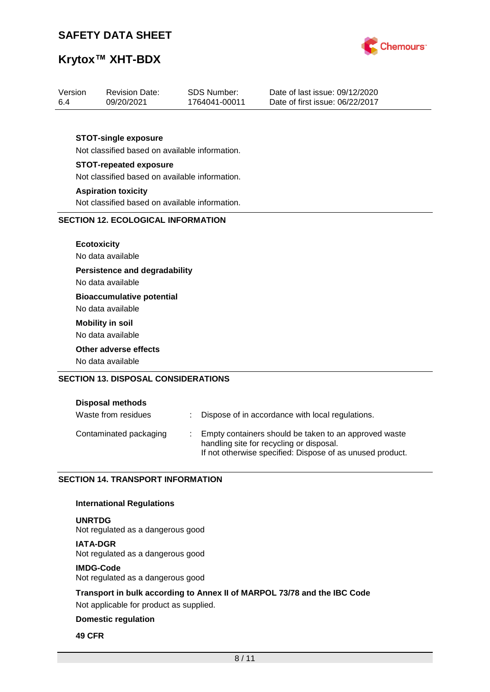

## **Krytox™ XHT-BDX**

| Version<br>6.4 | <b>Revision Date:</b><br>09/20/2021            | <b>SDS Number:</b><br>1764041-00011 | Date of last issue: 09/12/2020<br>Date of first issue: 06/22/2017 |  |  |  |
|----------------|------------------------------------------------|-------------------------------------|-------------------------------------------------------------------|--|--|--|
|                |                                                |                                     |                                                                   |  |  |  |
|                | <b>STOT-single exposure</b>                    |                                     |                                                                   |  |  |  |
|                | Not classified based on available information. |                                     |                                                                   |  |  |  |
|                | <b>STOT-repeated exposure</b>                  |                                     |                                                                   |  |  |  |
|                | Not classified based on available information. |                                     |                                                                   |  |  |  |
|                | <b>Aspiration toxicity</b>                     |                                     |                                                                   |  |  |  |
|                | Not classified based on available information. |                                     |                                                                   |  |  |  |
|                | <b>SECTION 12. ECOLOGICAL INFORMATION</b>      |                                     |                                                                   |  |  |  |
|                |                                                |                                     |                                                                   |  |  |  |
|                | <b>Ecotoxicity</b>                             |                                     |                                                                   |  |  |  |
|                | No data available                              |                                     |                                                                   |  |  |  |
|                | <b>Persistence and degradability</b>           |                                     |                                                                   |  |  |  |
|                | No data available                              |                                     |                                                                   |  |  |  |
|                | <b>Bioaccumulative potential</b>               |                                     |                                                                   |  |  |  |
|                | No data available                              |                                     |                                                                   |  |  |  |
|                | <b>Mobility in soil</b>                        |                                     |                                                                   |  |  |  |
|                | No data available                              |                                     |                                                                   |  |  |  |
|                | Other adverse effects                          |                                     |                                                                   |  |  |  |
|                | No data available                              |                                     |                                                                   |  |  |  |
|                | <b>SECTION 13. DISPOSAL CONSIDERATIONS</b>     |                                     |                                                                   |  |  |  |
|                |                                                |                                     |                                                                   |  |  |  |
|                | Disposal methods                               |                                     |                                                                   |  |  |  |

| Waste from residues    | Dispose of in accordance with local regulations.                                                                                                               |
|------------------------|----------------------------------------------------------------------------------------------------------------------------------------------------------------|
| Contaminated packaging | Empty containers should be taken to an approved waste<br>handling site for recycling or disposal.<br>If not otherwise specified: Dispose of as unused product. |

### **SECTION 14. TRANSPORT INFORMATION**

#### **International Regulations**

**UNRTDG** Not regulated as a dangerous good

**IATA-DGR** Not regulated as a dangerous good

#### **IMDG-Code**

Not regulated as a dangerous good

**Transport in bulk according to Annex II of MARPOL 73/78 and the IBC Code** Not applicable for product as supplied.

#### **Domestic regulation**

#### **49 CFR**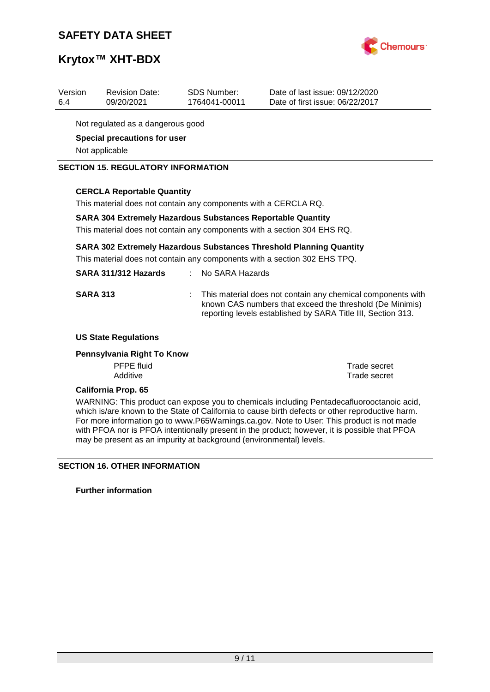

### **Krytox™ XHT-BDX**

| Version<br>6.4                    | <b>Revision Date:</b><br>09/20/2021 | SDS Number:<br>1764041-00011 | Date of last issue: 09/12/2020<br>Date of first issue: 06/22/2017 |  |
|-----------------------------------|-------------------------------------|------------------------------|-------------------------------------------------------------------|--|
| Not regulated as a dangerous good |                                     |                              |                                                                   |  |
| Special precautions for user      |                                     |                              |                                                                   |  |
| Not applicable                    |                                     |                              |                                                                   |  |

#### **SECTION 15. REGULATORY INFORMATION**

#### **CERCLA Reportable Quantity**

This material does not contain any components with a CERCLA RQ.

#### **SARA 304 Extremely Hazardous Substances Reportable Quantity**

This material does not contain any components with a section 304 EHS RQ.

#### **SARA 302 Extremely Hazardous Substances Threshold Planning Quantity**

This material does not contain any components with a section 302 EHS TPQ.

| SARA 311/312 Hazards | No SARA Hazards |
|----------------------|-----------------|
|----------------------|-----------------|

**SARA 313** : This material does not contain any chemical components with known CAS numbers that exceed the threshold (De Minimis) reporting levels established by SARA Title III, Section 313.

#### **US State Regulations**

#### **Pennsylvania Right To Know**

PFPE fluid<br>
Additive<br>
Additive<br>
Trade secret

Trade secret

#### **California Prop. 65**

WARNING: This product can expose you to chemicals including Pentadecafluorooctanoic acid, which is/are known to the State of California to cause birth defects or other reproductive harm. For more information go to www.P65Warnings.ca.gov. Note to User: This product is not made with PFOA nor is PFOA intentionally present in the product; however, it is possible that PFOA may be present as an impurity at background (environmental) levels.

#### **SECTION 16. OTHER INFORMATION**

**Further information**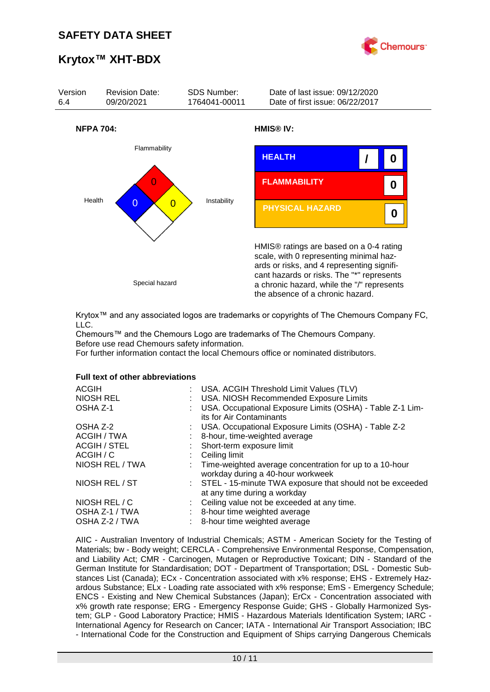

### **Krytox™ XHT-BDX**



Krytox™ and any associated logos are trademarks or copyrights of The Chemours Company FC, LLC.

Chemours™ and the Chemours Logo are trademarks of The Chemours Company. Before use read Chemours safety information.

For further information contact the local Chemours office or nominated distributors.

#### **Full text of other abbreviations**

| : USA. ACGIH Threshold Limit Values (TLV)<br>: USA. NIOSH Recommended Exposure Limits<br>USA. Occupational Exposure Limits (OSHA) - Table Z-1 Lim-<br>its for Air Contaminants |
|--------------------------------------------------------------------------------------------------------------------------------------------------------------------------------|
| : USA. Occupational Exposure Limits (OSHA) - Table Z-2                                                                                                                         |
| 8-hour, time-weighted average                                                                                                                                                  |
| : Short-term exposure limit                                                                                                                                                    |
| Ceiling limit                                                                                                                                                                  |
| : Time-weighted average concentration for up to a 10-hour<br>workday during a 40-hour workweek                                                                                 |
| : STEL - 15-minute TWA exposure that should not be exceeded<br>at any time during a workday                                                                                    |
| : Ceiling value not be exceeded at any time.                                                                                                                                   |
| : 8-hour time weighted average                                                                                                                                                 |
| 8-hour time weighted average                                                                                                                                                   |
|                                                                                                                                                                                |

AIIC - Australian Inventory of Industrial Chemicals; ASTM - American Society for the Testing of Materials; bw - Body weight; CERCLA - Comprehensive Environmental Response, Compensation, and Liability Act; CMR - Carcinogen, Mutagen or Reproductive Toxicant; DIN - Standard of the German Institute for Standardisation; DOT - Department of Transportation; DSL - Domestic Substances List (Canada); ECx - Concentration associated with x% response; EHS - Extremely Hazardous Substance; ELx - Loading rate associated with x% response; EmS - Emergency Schedule; ENCS - Existing and New Chemical Substances (Japan); ErCx - Concentration associated with x% growth rate response; ERG - Emergency Response Guide; GHS - Globally Harmonized System; GLP - Good Laboratory Practice; HMIS - Hazardous Materials Identification System; IARC - International Agency for Research on Cancer; IATA - International Air Transport Association; IBC - International Code for the Construction and Equipment of Ships carrying Dangerous Chemicals